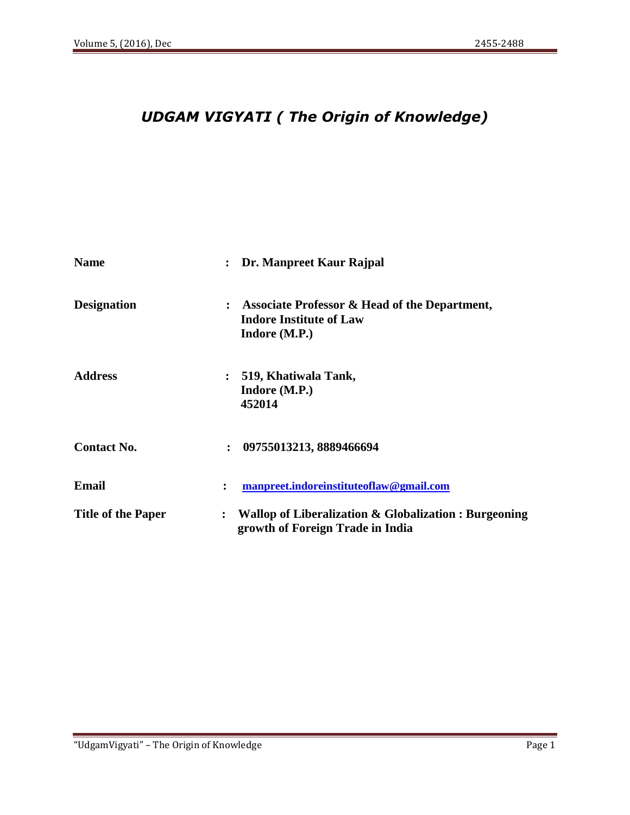## *UDGAM VIGYATI ( The Origin of Knowledge)*

| <b>Name</b>               | : Dr. Manpreet Kaur Rajpal                                                                                                          |
|---------------------------|-------------------------------------------------------------------------------------------------------------------------------------|
| <b>Designation</b>        | <b>Associate Professor &amp; Head of the Department,</b><br>$\ddot{\phantom{a}}$<br><b>Indore Institute of Law</b><br>Indore (M.P.) |
| <b>Address</b>            | 519, Khatiwala Tank,<br>$\ddot{\cdot}$<br>Indore (M.P.)<br>452014                                                                   |
| <b>Contact No.</b>        | 09755013213, 8889466694<br>$\ddot{\cdot}$                                                                                           |
| Email                     | manpreet.indoreinstituteoflaw@gmail.com                                                                                             |
| <b>Title of the Paper</b> | Wallop of Liberalization & Globalization : Burgeoning<br>growth of Foreign Trade in India                                           |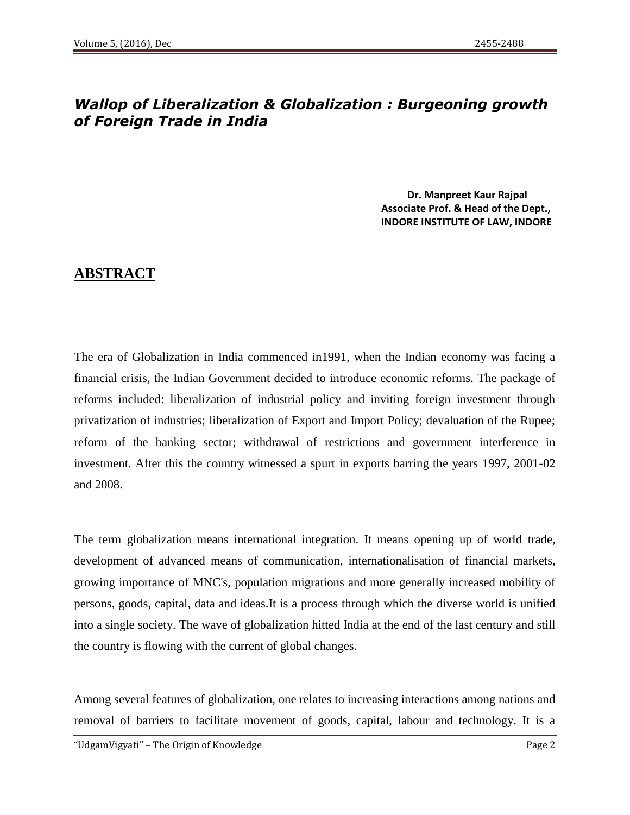#### *Wallop of Liberalization & Globalization : Burgeoning growth of Foreign Trade in India*

**Dr. Manpreet Kaur Rajpal Associate Prof. & Head of the Dept., INDORE INSTITUTE OF LAW, INDORE** 

#### **ABSTRACT**

The era of Globalization in India commenced in1991, when the Indian economy was facing a financial crisis, the Indian Government decided to introduce economic reforms. The package of reforms included: liberalization of industrial policy and inviting foreign investment through privatization of industries; liberalization of Export and Import Policy; devaluation of the Rupee; reform of the banking sector; withdrawal of restrictions and government interference in investment. After this the country witnessed a spurt in exports barring the years 1997, 2001-02 and 2008.

The term globalization means international integration. It means opening up of world trade, development of advanced means of communication, internationalisation of financial markets, growing importance of MNC's, population migrations and more generally increased mobility of persons, goods, capital, data and ideas.It is a process through which the diverse world is unified into a single society. The wave of globalization hitted India at the end of the last century and still the country is flowing with the current of global changes.

Among several features of globalization, one relates to increasing interactions among nations and removal of barriers to facilitate movement of goods, capital, labour and technology. It is a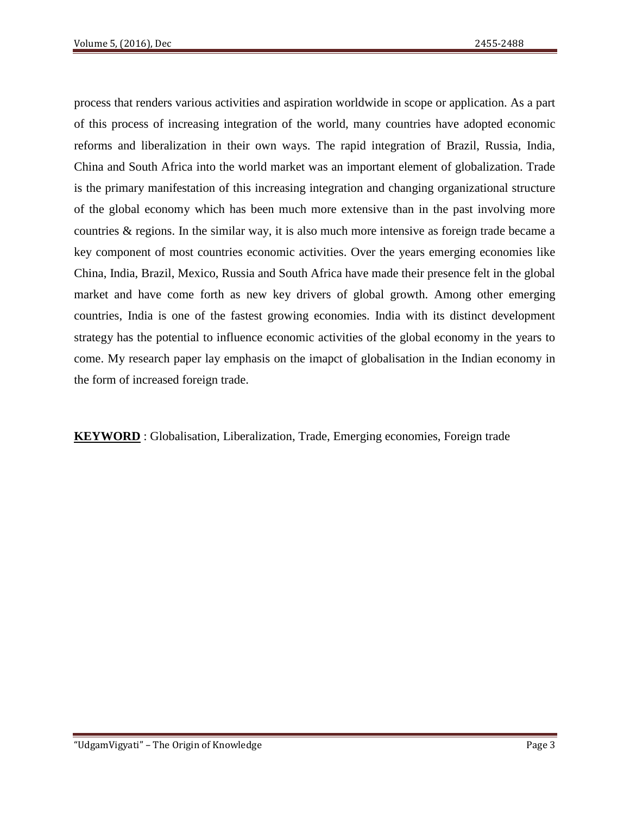process that renders various activities and aspiration worldwide in scope or application. As a part of this process of increasing integration of the world, many countries have adopted economic reforms and liberalization in their own ways. The rapid integration of Brazil, Russia, India, China and South Africa into the world market was an important element of globalization. Trade is the primary manifestation of this increasing integration and changing organizational structure of the global economy which has been much more extensive than in the past involving more countries & regions. In the similar way, it is also much more intensive as foreign trade became a key component of most countries economic activities. Over the years emerging economies like China, India, Brazil, Mexico, Russia and South Africa have made their presence felt in the global market and have come forth as new key drivers of global growth. Among other emerging countries, India is one of the fastest growing economies. India with its distinct development strategy has the potential to influence economic activities of the global economy in the years to come. My research paper lay emphasis on the imapct of globalisation in the Indian economy in the form of increased foreign trade.

**KEYWORD** : Globalisation, Liberalization, Trade, Emerging economies, Foreign trade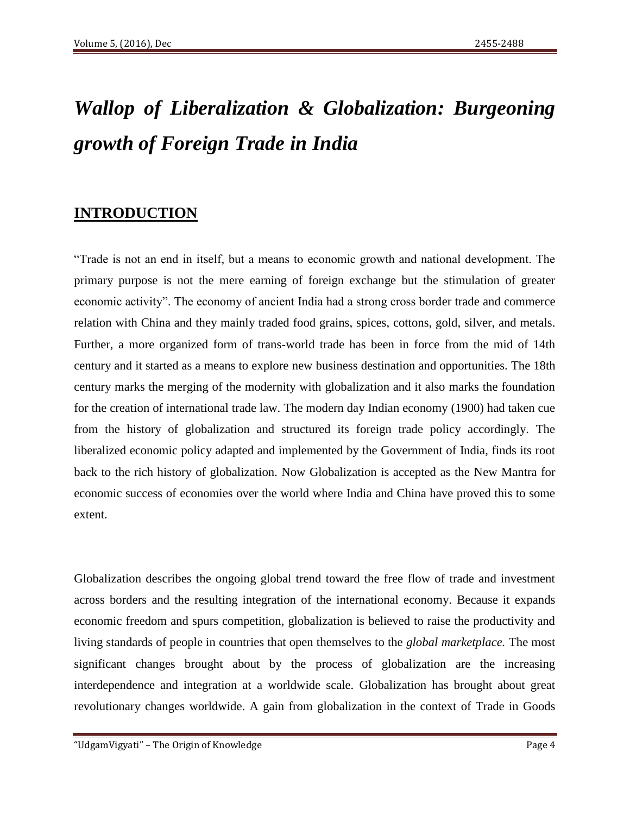# *Wallop of Liberalization & Globalization: Burgeoning growth of Foreign Trade in India*

## **INTRODUCTION**

"Trade is not an end in itself, but a means to economic growth and national development. The primary purpose is not the mere earning of foreign exchange but the stimulation of greater economic activity". The economy of ancient India had a strong cross border trade and commerce relation with China and they mainly traded food grains, spices, cottons, gold, silver, and metals. Further, a more organized form of trans-world trade has been in force from the mid of 14th century and it started as a means to explore new business destination and opportunities. The 18th century marks the merging of the modernity with globalization and it also marks the foundation for the creation of international trade law. The modern day Indian economy (1900) had taken cue from the history of globalization and structured its foreign trade policy accordingly. The liberalized economic policy adapted and implemented by the Government of India, finds its root back to the rich history of globalization. Now Globalization is accepted as the New Mantra for economic success of economies over the world where India and China have proved this to some extent.

Globalization describes the ongoing global trend toward the free flow of trade and investment across borders and the resulting integration of the international economy. Because it expands economic freedom and spurs competition, globalization is believed to raise the productivity and living standards of people in countries that open themselves to the *global marketplace.* The most significant changes brought about by the process of globalization are the increasing interdependence and integration at a worldwide scale. Globalization has brought about great revolutionary changes worldwide. A gain from globalization in the context of Trade in Goods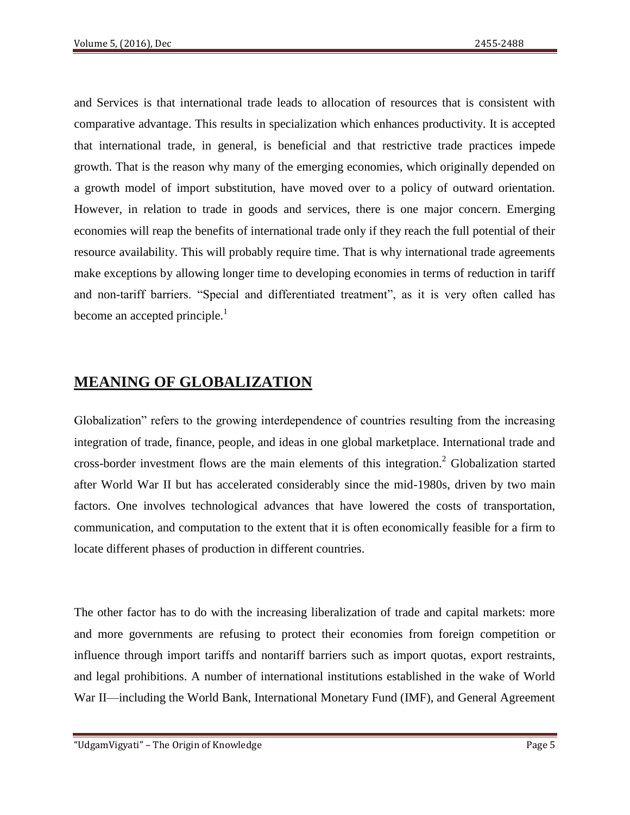and Services is that international trade leads to allocation of resources that is consistent with comparative advantage. This results in specialization which enhances productivity. It is accepted that international trade, in general, is beneficial and that restrictive trade practices impede growth. That is the reason why many of the emerging economies, which originally depended on a growth model of import substitution, have moved over to a policy of outward orientation. However, in relation to trade in goods and services, there is one major concern. Emerging economies will reap the benefits of international trade only if they reach the full potential of their resource availability. This will probably require time. That is why international trade agreements make exceptions by allowing longer time to developing economies in terms of reduction in tariff and non-tariff barriers. "Special and differentiated treatment", as it is very often called has become an accepted principle. $<sup>1</sup>$ </sup>

#### **MEANING OF GLOBALIZATION**

Globalization" refers to the growing interdependence of countries resulting from the increasing integration of trade, finance, people, and ideas in one global marketplace. International trade and cross-border investment flows are the main elements of this integration.<sup>2</sup> Globalization started after World War II but has accelerated considerably since the mid-1980s, driven by two main factors. One involves technological advances that have lowered the costs of transportation, communication, and computation to the extent that it is often economically feasible for a firm to locate different phases of production in different countries.

The other factor has to do with the increasing liberalization of trade and capital markets: more and more governments are refusing to protect their economies from foreign competition or influence through import tariffs and nontariff barriers such as import quotas, export restraints, and legal prohibitions. A number of international institutions established in the wake of World War II—including the World Bank, International Monetary Fund (IMF), and General Agreement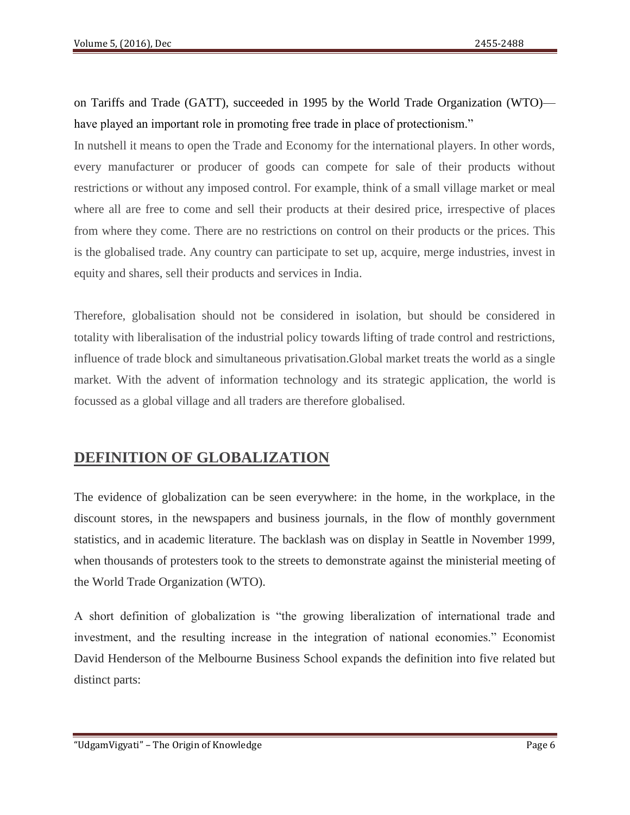on Tariffs and Trade (GATT), succeeded in 1995 by the World Trade Organization (WTO) have played an important role in promoting free trade in place of protectionism."

In nutshell it means to open the Trade and Economy for the international players. In other words, every manufacturer or producer of goods can compete for sale of their products without restrictions or without any imposed control. For example, think of a small village market or meal where all are free to come and sell their products at their desired price, irrespective of places from where they come. There are no restrictions on control on their products or the prices. This is the globalised trade. Any country can participate to set up, acquire, merge industries, invest in equity and shares, sell their products and services in India.

Therefore, globalisation should not be considered in isolation, but should be considered in totality with liberalisation of the industrial policy towards lifting of trade control and restrictions, influence of trade block and simultaneous privatisation.Global market treats the world as a single market. With the advent of information technology and its strategic application, the world is focussed as a global village and all traders are therefore globalised.

### **DEFINITION OF GLOBALIZATION**

The evidence of globalization can be seen everywhere: in the home, in the workplace, in the discount stores, in the newspapers and business journals, in the flow of monthly government statistics, and in academic literature. The backlash was on display in Seattle in November 1999, when thousands of protesters took to the streets to demonstrate against the ministerial meeting of the World Trade Organization (WTO).

A short definition of globalization is "the growing liberalization of international trade and investment, and the resulting increase in the integration of national economies." Economist David Henderson of the Melbourne Business School expands the definition into five related but distinct parts: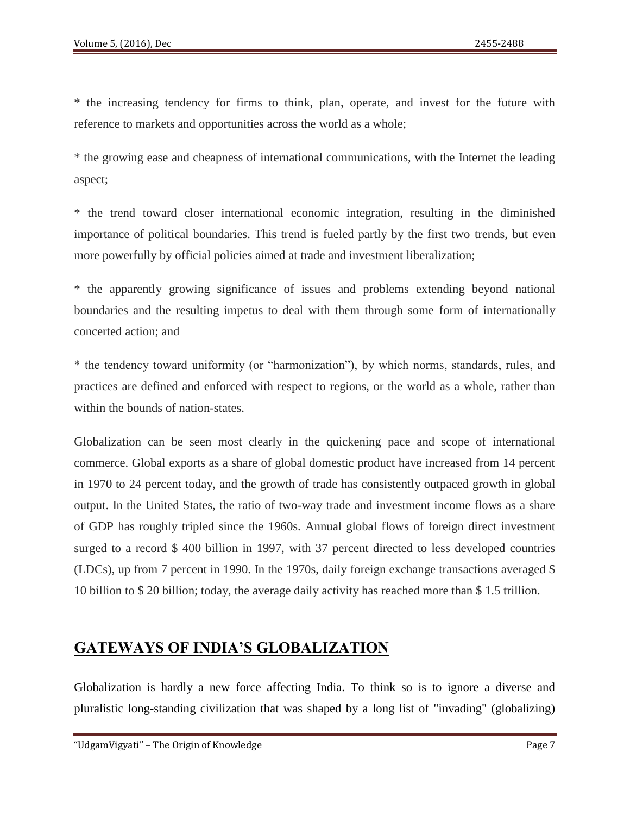\* the increasing tendency for firms to think, plan, operate, and invest for the future with reference to markets and opportunities across the world as a whole;

\* the growing ease and cheapness of international communications, with the Internet the leading aspect;

\* the trend toward closer international economic integration, resulting in the diminished importance of political boundaries. This trend is fueled partly by the first two trends, but even more powerfully by official policies aimed at trade and investment liberalization;

\* the apparently growing significance of issues and problems extending beyond national boundaries and the resulting impetus to deal with them through some form of internationally concerted action; and

\* the tendency toward uniformity (or "harmonization"), by which norms, standards, rules, and practices are defined and enforced with respect to regions, or the world as a whole, rather than within the bounds of nation-states.

Globalization can be seen most clearly in the quickening pace and scope of international commerce. Global exports as a share of global domestic product have increased from 14 percent in 1970 to 24 percent today, and the growth of trade has consistently outpaced growth in global output. In the United States, the ratio of two-way trade and investment income flows as a share of GDP has roughly tripled since the 1960s. Annual global flows of foreign direct investment surged to a record \$ 400 billion in 1997, with 37 percent directed to less developed countries (LDCs), up from 7 percent in 1990. In the 1970s, daily foreign exchange transactions averaged \$ 10 billion to \$ 20 billion; today, the average daily activity has reached more than \$ 1.5 trillion.

#### **GATEWAYS OF INDIA'S GLOBALIZATION**

Globalization is hardly a new force affecting India. To think so is to ignore a diverse and pluralistic long-standing civilization that was shaped by a long list of "invading" (globalizing)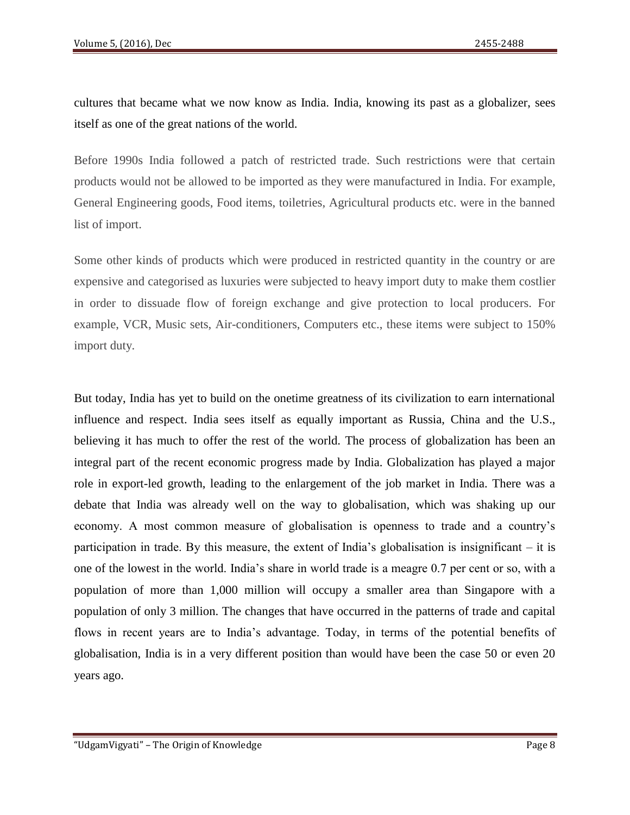cultures that became what we now know as India. India, knowing its past as a globalizer, sees itself as one of the great nations of the world.

Before 1990s India followed a patch of restricted trade. Such restrictions were that certain products would not be allowed to be imported as they were manufactured in India. For example, General Engineering goods, Food items, toiletries, Agricultural products etc. were in the banned list of import.

Some other kinds of products which were produced in restricted quantity in the country or are expensive and categorised as luxuries were subjected to heavy import duty to make them costlier in order to dissuade flow of foreign exchange and give protection to local producers. For example, VCR, Music sets, Air-conditioners, Computers etc., these items were subject to 150% import duty.

But today, India has yet to build on the onetime greatness of its civilization to earn international influence and respect. India sees itself as equally important as Russia, China and the U.S., believing it has much to offer the rest of the world. The process of globalization has been an integral part of the recent economic progress made by India. Globalization has played a major role in export-led growth, leading to the enlargement of the job market in India. There was a debate that India was already well on the way to globalisation, which was shaking up our economy. A most common measure of globalisation is openness to trade and a country's participation in trade. By this measure, the extent of India's globalisation is insignificant – it is one of the lowest in the world. India's share in world trade is a meagre 0.7 per cent or so, with a population of more than 1,000 million will occupy a smaller area than Singapore with a population of only 3 million. The changes that have occurred in the patterns of trade and capital flows in recent years are to India's advantage. Today, in terms of the potential benefits of globalisation, India is in a very different position than would have been the case 50 or even 20 years ago.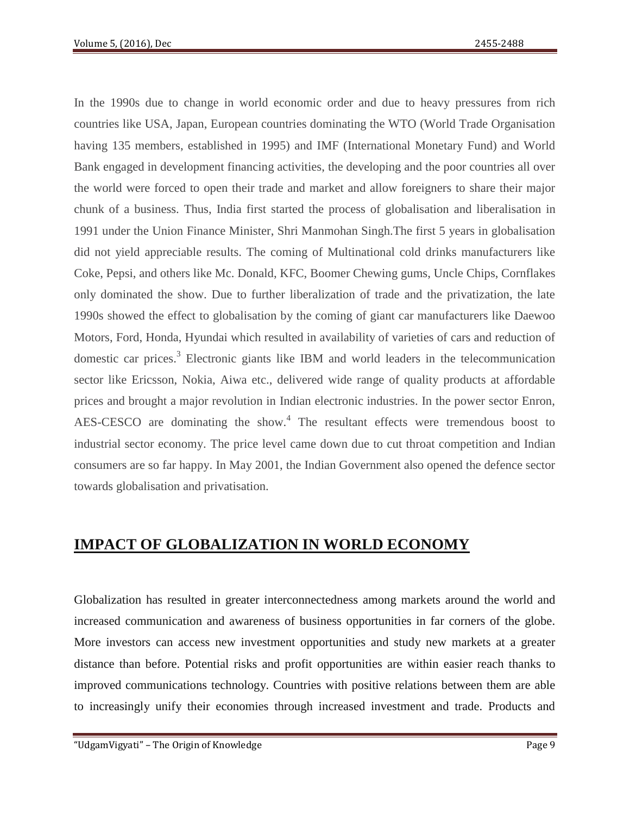In the 1990s due to change in world economic order and due to heavy pressures from rich countries like USA, Japan, European countries dominating the WTO (World Trade Organisation having 135 members, established in 1995) and IMF (International Monetary Fund) and World Bank engaged in development financing activities, the developing and the poor countries all over the world were forced to open their trade and market and allow foreigners to share their major chunk of a business. Thus, India first started the process of globalisation and liberalisation in 1991 under the Union Finance Minister, Shri Manmohan Singh.The first 5 years in globalisation did not yield appreciable results. The coming of Multinational cold drinks manufacturers like Coke, Pepsi, and others like Mc. Donald, KFC, Boomer Chewing gums, Uncle Chips, Cornflakes only dominated the show. Due to further liberalization of trade and the privatization, the late 1990s showed the effect to globalisation by the coming of giant car manufacturers like Daewoo Motors, Ford, Honda, Hyundai which resulted in availability of varieties of cars and reduction of domestic car prices.<sup>3</sup> Electronic giants like IBM and world leaders in the telecommunication sector like Ericsson, Nokia, Aiwa etc., delivered wide range of quality products at affordable prices and brought a major revolution in Indian electronic industries. In the power sector Enron, AES-CESCO are dominating the show.<sup>4</sup> The resultant effects were tremendous boost to industrial sector economy. The price level came down due to cut throat competition and Indian consumers are so far happy. In May 2001, the Indian Government also opened the defence sector towards globalisation and privatisation.

### **IMPACT OF GLOBALIZATION IN WORLD ECONOMY**

Globalization has resulted in greater interconnectedness among markets around the world and increased communication and awareness of business opportunities in far corners of the globe. More investors can access new investment opportunities and study new markets at a greater distance than before. Potential risks and profit opportunities are within easier reach thanks to improved communications technology. Countries with positive relations between them are able to increasingly unify their economies through increased investment and trade. Products and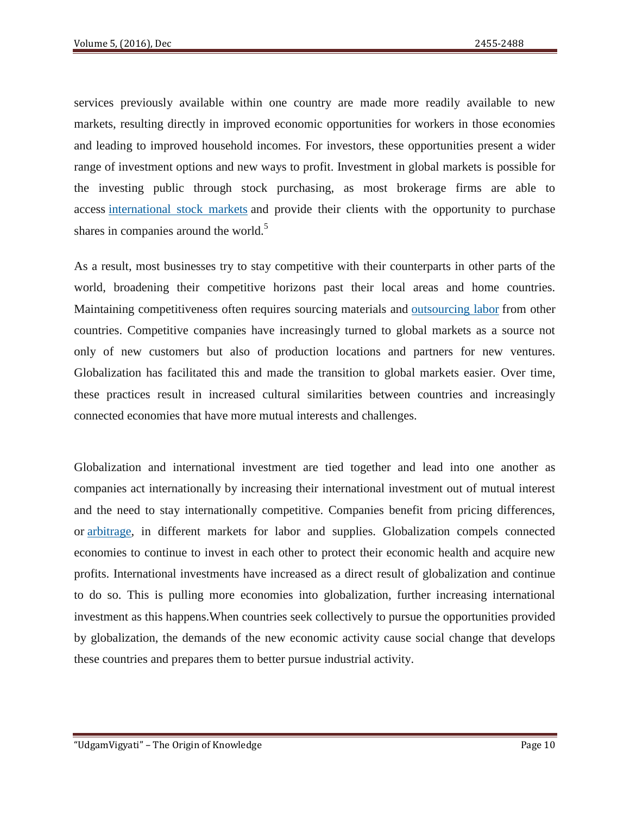services previously available within one country are made more readily available to new markets, resulting directly in improved economic opportunities for workers in those economies and leading to improved household incomes. For investors, these opportunities present a wider range of investment options and new ways to profit. Investment in global markets is possible for the investing public through stock purchasing, as most brokerage firms are able to access [international stock markets](http://www.investopedia.com/articles/investing/112014/how-trade-international-stocks.asp) and provide their clients with the opportunity to purchase shares in companies around the world.<sup>5</sup>

As a result, most businesses try to stay competitive with their counterparts in other parts of the world, broadening their competitive horizons past their local areas and home countries. Maintaining competitiveness often requires sourcing materials and [outsourcing labor](http://www.investopedia.com/terms/o/outsourcing.asp) from other countries. Competitive companies have increasingly turned to global markets as a source not only of new customers but also of production locations and partners for new ventures. Globalization has facilitated this and made the transition to global markets easier. Over time, these practices result in increased cultural similarities between countries and increasingly connected economies that have more mutual interests and challenges.

Globalization and international investment are tied together and lead into one another as companies act internationally by increasing their international investment out of mutual interest and the need to stay internationally competitive. Companies benefit from pricing differences, or [arbitrage,](http://www.investopedia.com/terms/a/arbitrage.asp) in different markets for labor and supplies. Globalization compels connected economies to continue to invest in each other to protect their economic health and acquire new profits. International investments have increased as a direct result of globalization and continue to do so. This is pulling more economies into globalization, further increasing international investment as this happens.When countries seek collectively to pursue the opportunities provided by globalization, the demands of the new economic activity cause social change that develops these countries and prepares them to better pursue industrial activity.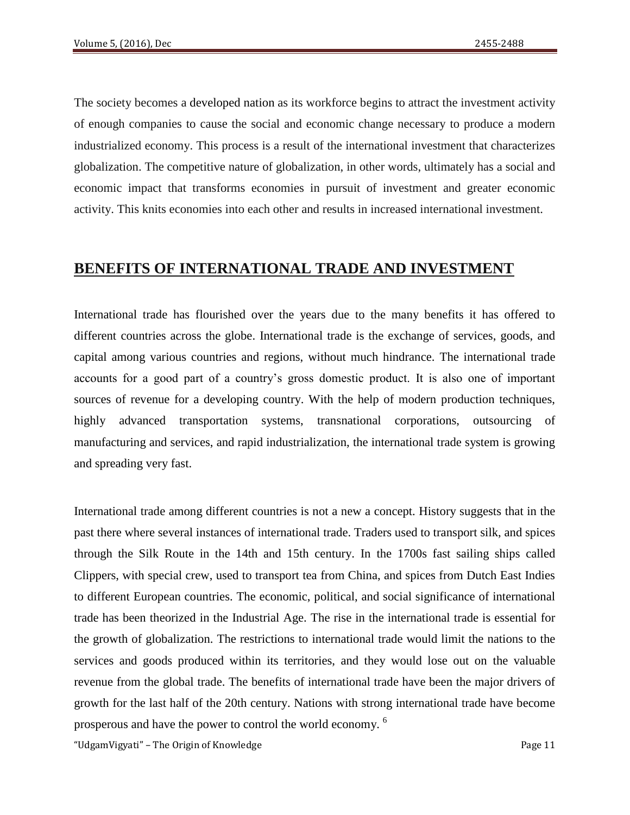The society becomes a [developed nation](http://www.investopedia.com/terms/d/developed-economy.asp) as its workforce begins to attract the investment activity of enough companies to cause the social and economic change necessary to produce a modern industrialized economy. This process is a result of the international investment that characterizes globalization. The competitive nature of globalization, in other words, ultimately has a social and economic impact that transforms economies in pursuit of investment and greater economic activity. This knits economies into each other and results in increased international investment.

#### **BENEFITS OF INTERNATIONAL TRADE AND INVESTMENT**

International trade has flourished over the years due to the many benefits it has offered to different countries across the globe. International trade is the exchange of services, goods, and capital among various countries and regions, without much hindrance. The international trade accounts for a good part of a country's gross domestic product. It is also one of important sources of revenue for a developing country. With the help of modern production techniques, highly advanced transportation systems, transnational corporations, outsourcing of manufacturing and services, and rapid industrialization, the international trade system is growing and spreading very fast.

International trade among different countries is not a new a concept. History suggests that in the past there where several instances of international trade. Traders used to transport silk, and spices through the Silk Route in the 14th and 15th century. In the 1700s fast sailing ships called Clippers, with special crew, used to transport tea from China, and spices from Dutch East Indies to different European countries. The economic, political, and social significance of international trade has been theorized in the Industrial Age. The rise in the international trade is essential for the growth of globalization. The restrictions to international trade would limit the nations to the services and goods produced within its territories, and they would lose out on the valuable revenue from the global trade. The benefits of international trade have been the major drivers of growth for the last half of the 20th century. Nations with strong international trade have become prosperous and have the power to control the world economy.<sup>6</sup>

"UdgamVigyati" – The Origin of Knowledge Page 11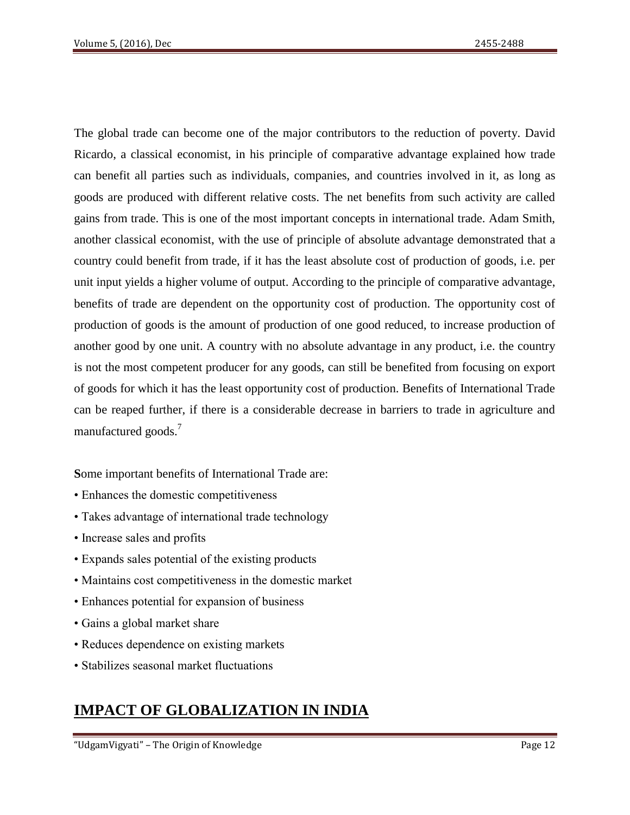The global trade can become one of the major contributors to the reduction of poverty. David Ricardo, a classical economist, in his principle of comparative advantage explained how trade can benefit all parties such as individuals, companies, and countries involved in it, as long as goods are produced with different relative costs. The net benefits from such activity are called gains from trade. This is one of the most important concepts in international trade. Adam Smith, another classical economist, with the use of principle of absolute advantage demonstrated that a country could benefit from trade, if it has the least absolute cost of production of goods, i.e. per unit input yields a higher volume of output. According to the principle of comparative advantage, benefits of trade are dependent on the opportunity cost of production. The opportunity cost of production of goods is the amount of production of one good reduced, to increase production of another good by one unit. A country with no absolute advantage in any product, i.e. the country is not the most competent producer for any goods, can still be benefited from focusing on export of goods for which it has the least opportunity cost of production. Benefits of International Trade can be reaped further, if there is a considerable decrease in barriers to trade in agriculture and manufactured goods.<sup>7</sup>

**S**ome important benefits of International Trade are:

- Enhances the domestic competitiveness
- Takes advantage of international trade technology
- Increase sales and profits
- Expands sales potential of the existing products
- Maintains cost competitiveness in the domestic market
- Enhances potential for expansion of business
- Gains a global market share
- Reduces dependence on existing markets
- Stabilizes seasonal market fluctuations

# **IMPACT OF GLOBALIZATION IN INDIA**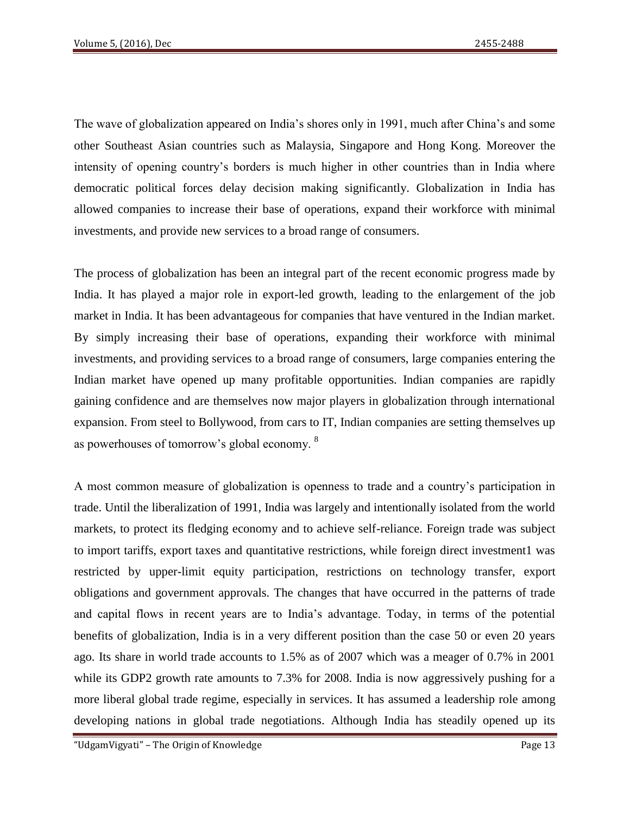The wave of globalization appeared on India's shores only in 1991, much after China's and some other Southeast Asian countries such as Malaysia, Singapore and Hong Kong. Moreover the intensity of opening country's borders is much higher in other countries than in India where democratic political forces delay decision making significantly. Globalization in India has allowed companies to increase their base of operations, expand their workforce with minimal investments, and provide new services to a broad range of consumers.

The process of globalization has been an integral part of the recent economic progress made by India. It has played a major role in export-led growth, leading to the enlargement of the job market in India. It has been advantageous for companies that have ventured in the Indian market. By simply increasing their base of operations, expanding their workforce with minimal investments, and providing services to a broad range of consumers, large companies entering the Indian market have opened up many profitable opportunities. Indian companies are rapidly gaining confidence and are themselves now major players in globalization through international expansion. From steel to Bollywood, from cars to IT, Indian companies are setting themselves up as powerhouses of tomorrow's global economy.<sup>8</sup>

A most common measure of globalization is openness to trade and a country's participation in trade. Until the liberalization of 1991, India was largely and intentionally isolated from the world markets, to protect its fledging economy and to achieve self-reliance. Foreign trade was subject to import tariffs, export taxes and quantitative restrictions, while foreign direct investment1 was restricted by upper-limit equity participation, restrictions on technology transfer, export obligations and government approvals. The changes that have occurred in the patterns of trade and capital flows in recent years are to India's advantage. Today, in terms of the potential benefits of globalization, India is in a very different position than the case 50 or even 20 years ago. Its share in world trade accounts to 1.5% as of 2007 which was a meager of 0.7% in 2001 while its GDP2 growth rate amounts to 7.3% for 2008. India is now aggressively pushing for a more liberal global trade regime, especially in services. It has assumed a leadership role among developing nations in global trade negotiations. Although India has steadily opened up its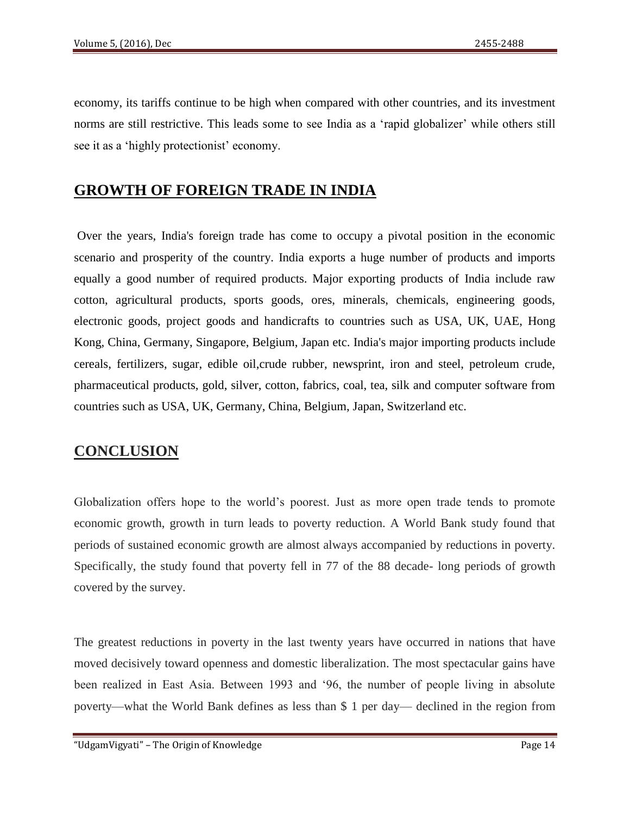economy, its tariffs continue to be high when compared with other countries, and its investment norms are still restrictive. This leads some to see India as a 'rapid globalizer' while others still see it as a 'highly protectionist' economy.

#### **GROWTH OF FOREIGN TRADE IN INDIA**

Over the years, India's foreign trade has come to occupy a pivotal position in the economic scenario and prosperity of the country. India exports a huge number of products and imports equally a good number of required products. Major exporting products of India include raw cotton, agricultural products, sports goods, ores, minerals, chemicals, engineering goods, electronic goods, project goods and handicrafts to countries such as USA, UK, UAE, Hong Kong, China, Germany, Singapore, Belgium, Japan etc. India's major importing products include cereals, fertilizers, sugar, edible oil,crude rubber, newsprint, iron and steel, petroleum crude, pharmaceutical products, gold, silver, cotton, fabrics, coal, tea, silk and computer software from countries such as USA, UK, Germany, China, Belgium, Japan, Switzerland etc.

#### **CONCLUSION**

Globalization offers hope to the world's poorest. Just as more open trade tends to promote economic growth, growth in turn leads to poverty reduction. A World Bank study found that periods of sustained economic growth are almost always accompanied by reductions in poverty. Specifically, the study found that poverty fell in 77 of the 88 decade- long periods of growth covered by the survey.

The greatest reductions in poverty in the last twenty years have occurred in nations that have moved decisively toward openness and domestic liberalization. The most spectacular gains have been realized in East Asia. Between 1993 and '96, the number of people living in absolute poverty—what the World Bank defines as less than \$ 1 per day— declined in the region from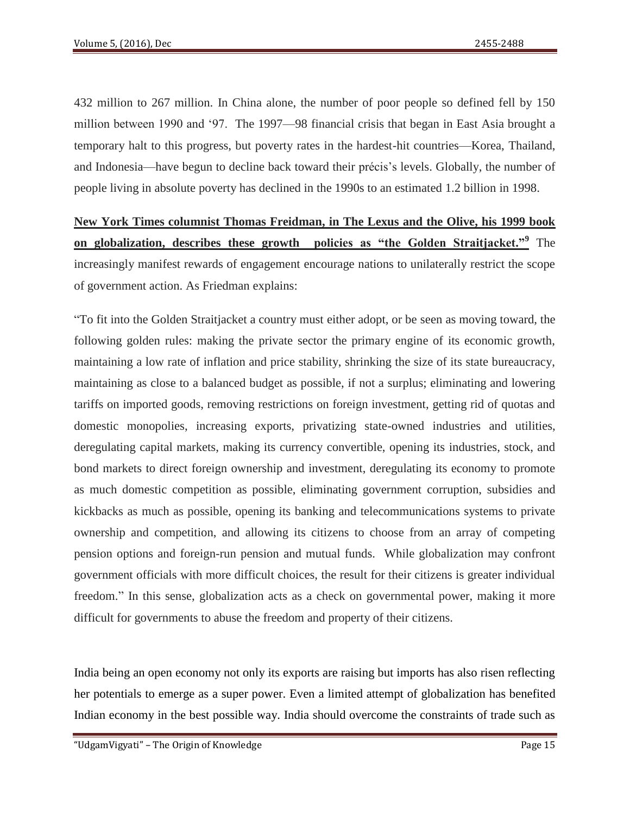432 million to 267 million. In China alone, the number of poor people so defined fell by 150 million between 1990 and '97. The 1997—98 financial crisis that began in East Asia brought a temporary halt to this progress, but poverty rates in the hardest-hit countries—Korea, Thailand, and Indonesia—have begun to decline back toward their précis's levels. Globally, the number of people living in absolute poverty has declined in the 1990s to an estimated 1.2 billion in 1998.

**New York Times columnist Thomas Freidman, in The Lexus and the Olive, his 1999 book on globalization, describes these growth policies as "the Golden Straitjacket."<sup>9</sup>** The increasingly manifest rewards of engagement encourage nations to unilaterally restrict the scope of government action. As Friedman explains:

"To fit into the Golden Straitjacket a country must either adopt, or be seen as moving toward, the following golden rules: making the private sector the primary engine of its economic growth, maintaining a low rate of inflation and price stability, shrinking the size of its state bureaucracy, maintaining as close to a balanced budget as possible, if not a surplus; eliminating and lowering tariffs on imported goods, removing restrictions on foreign investment, getting rid of quotas and domestic monopolies, increasing exports, privatizing state-owned industries and utilities, deregulating capital markets, making its currency convertible, opening its industries, stock, and bond markets to direct foreign ownership and investment, deregulating its economy to promote as much domestic competition as possible, eliminating government corruption, subsidies and kickbacks as much as possible, opening its banking and telecommunications systems to private ownership and competition, and allowing its citizens to choose from an array of competing pension options and foreign-run pension and mutual funds. While globalization may confront government officials with more difficult choices, the result for their citizens is greater individual freedom." In this sense, globalization acts as a check on governmental power, making it more difficult for governments to abuse the freedom and property of their citizens.

India being an open economy not only its exports are raising but imports has also risen reflecting her potentials to emerge as a super power. Even a limited attempt of globalization has benefited Indian economy in the best possible way. India should overcome the constraints of trade such as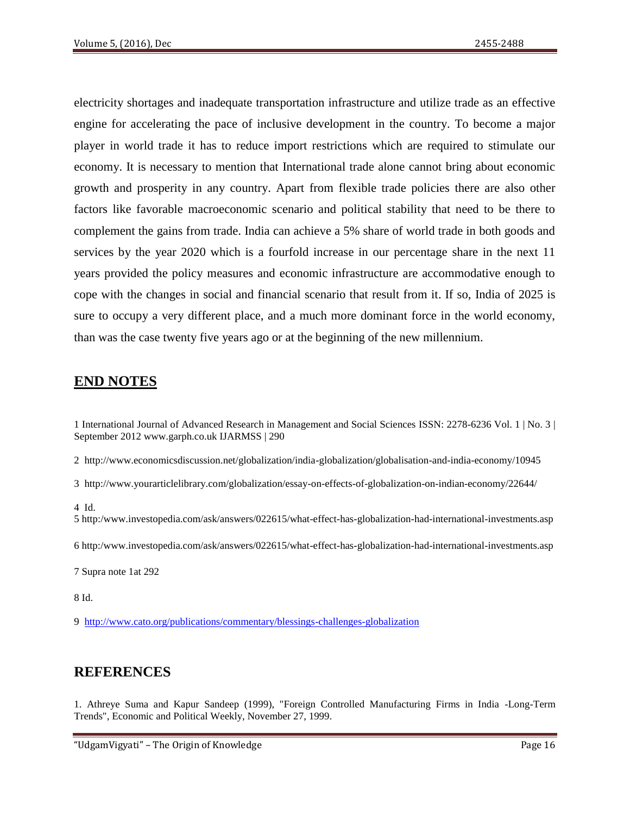electricity shortages and inadequate transportation infrastructure and utilize trade as an effective engine for accelerating the pace of inclusive development in the country. To become a major player in world trade it has to reduce import restrictions which are required to stimulate our economy. It is necessary to mention that International trade alone cannot bring about economic growth and prosperity in any country. Apart from flexible trade policies there are also other factors like favorable macroeconomic scenario and political stability that need to be there to complement the gains from trade. India can achieve a 5% share of world trade in both goods and services by the year 2020 which is a fourfold increase in our percentage share in the next 11 years provided the policy measures and economic infrastructure are accommodative enough to cope with the changes in social and financial scenario that result from it. If so, India of 2025 is sure to occupy a very different place, and a much more dominant force in the world economy, than was the case twenty five years ago or at the beginning of the new millennium.

#### **END NOTES**

1 International Journal of Advanced Research in Management and Social Sciences ISSN: 2278-6236 Vol. 1 | No. 3 | September 2012 www.garph.co.uk IJARMSS | 290

2 <http://www.economicsdiscussion.net/globalization/india-globalization/globalisation-and-india-economy/10945>

- 3 <http://www.yourarticlelibrary.com/globalization/essay-on-effects-of-globalization-on-indian-economy/22644/>
- 4 Id.

[5 http:/www.investopedia.com/ask/answers/022615/what-effect-has-globalization-had-international-investments.asp](http://www.investopedia.com/ask/answers/022615/what-effect-has-globalization-had-international-investments.asp)

6 http:/www.investopedia.com/ask/answers/022615/what-effect-has-globalization-had-international-investments.asp

7 Supra note 1at 292

8 Id.

9 <http://www.cato.org/publications/commentary/blessings-challenges-globalization>

#### **REFERENCES**

1. Athreye Suma and Kapur Sandeep (1999), "Foreign Controlled Manufacturing Firms in India -Long-Term Trends", Economic and Political Weekly, November 27, 1999.